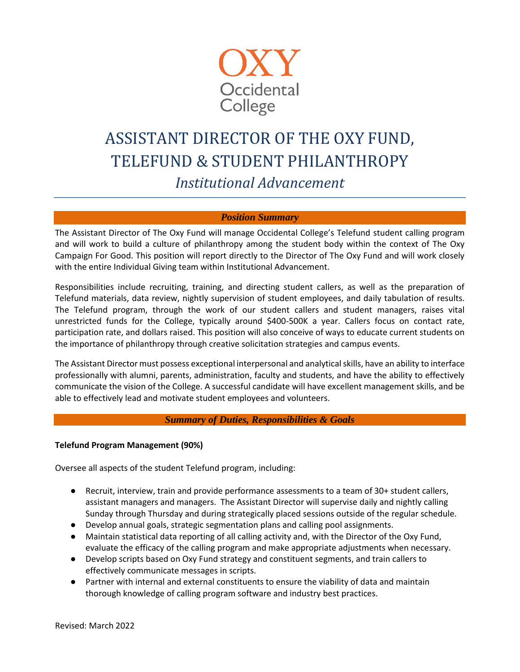

# ASSISTANT DIRECTOR OF THE OXY FUND, TELEFUND & STUDENT PHILANTHROPY *Institutional Advancement*

## *Position Summary*

The Assistant Director of The Oxy Fund will manage Occidental College's Telefund student calling program and will work to build a culture of philanthropy among the student body within the context of The Oxy Campaign For Good. This position will report directly to the Director of The Oxy Fund and will work closely with the entire Individual Giving team within Institutional Advancement.

Responsibilities include recruiting, training, and directing student callers, as well as the preparation of Telefund materials, data review, nightly supervision of student employees, and daily tabulation of results. The Telefund program, through the work of our student callers and student managers, raises vital unrestricted funds for the College, typically around \$400-500K a year. Callers focus on contact rate, participation rate, and dollars raised. This position will also conceive of ways to educate current students on the importance of philanthropy through creative solicitation strategies and campus events.

The Assistant Director must possess exceptional interpersonal and analytical skills, have an ability to interface professionally with alumni, parents, administration, faculty and students, and have the ability to effectively communicate the vision of the College. A successful candidate will have excellent management skills, and be able to effectively lead and motivate student employees and volunteers.

### *Summary of Duties, Responsibilities & Goals*

#### **Telefund Program Management (90%)**

Oversee all aspects of the student Telefund program, including:

- Recruit, interview, train and provide performance assessments to a team of 30+ student callers, assistant managers and managers. The Assistant Director will supervise daily and nightly calling Sunday through Thursday and during strategically placed sessions outside of the regular schedule.
- Develop annual goals, strategic segmentation plans and calling pool assignments.
- Maintain statistical data reporting of all calling activity and, with the Director of the Oxy Fund, evaluate the efficacy of the calling program and make appropriate adjustments when necessary.
- Develop scripts based on Oxy Fund strategy and constituent segments, and train callers to effectively communicate messages in scripts.
- Partner with internal and external constituents to ensure the viability of data and maintain thorough knowledge of calling program software and industry best practices.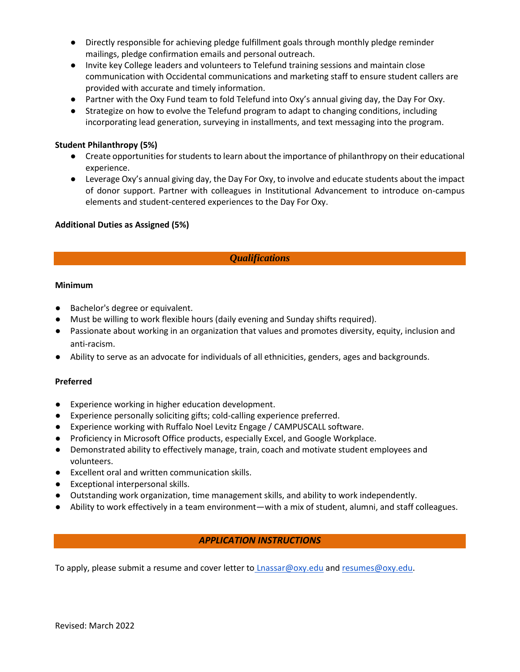- Directly responsible for achieving pledge fulfillment goals through monthly pledge reminder mailings, pledge confirmation emails and personal outreach.
- Invite key College leaders and volunteers to Telefund training sessions and maintain close communication with Occidental communications and marketing staff to ensure student callers are provided with accurate and timely information.
- Partner with the Oxy Fund team to fold Telefund into Oxy's annual giving day, the Day For Oxy.
- Strategize on how to evolve the Telefund program to adapt to changing conditions, including incorporating lead generation, surveying in installments, and text messaging into the program.

# **Student Philanthropy (5%)**

- Create opportunities for students to learn about the importance of philanthropy on their educational experience.
- Leverage Oxy's annual giving day, the Day For Oxy, to involve and educate students about the impact of donor support. Partner with colleagues in Institutional Advancement to introduce on-campus elements and student-centered experiences to the Day For Oxy.

## **Additional Duties as Assigned (5%)**

# *Qualifications*

## **Minimum**

- Bachelor's degree or equivalent.
- Must be willing to work flexible hours (daily evening and Sunday shifts required).
- Passionate about working in an organization that values and promotes diversity, equity, inclusion and anti-racism.
- Ability to serve as an advocate for individuals of all ethnicities, genders, ages and backgrounds.

## **Preferred**

- Experience working in higher education development.
- Experience personally soliciting gifts; cold-calling experience preferred.
- Experience working with Ruffalo Noel Levitz Engage / CAMPUSCALL software.
- Proficiency in Microsoft Office products, especially Excel, and Google Workplace.
- Demonstrated ability to effectively manage, train, coach and motivate student employees and volunteers.
- Excellent oral and written communication skills.
- Exceptional interpersonal skills.
- Outstanding work organization, time management skills, and ability to work independently.
- Ability to work effectively in a team environment—with a mix of student, alumni, and staff colleagues.

# *APPLICATION INSTRUCTIONS*

To apply, please submit a resume and cover letter to [Lnassar@oxy.edu](mailto:Lnassar@oxy.edu) an[d resumes@oxy.edu.](mailto:resumes@oxy.edu)